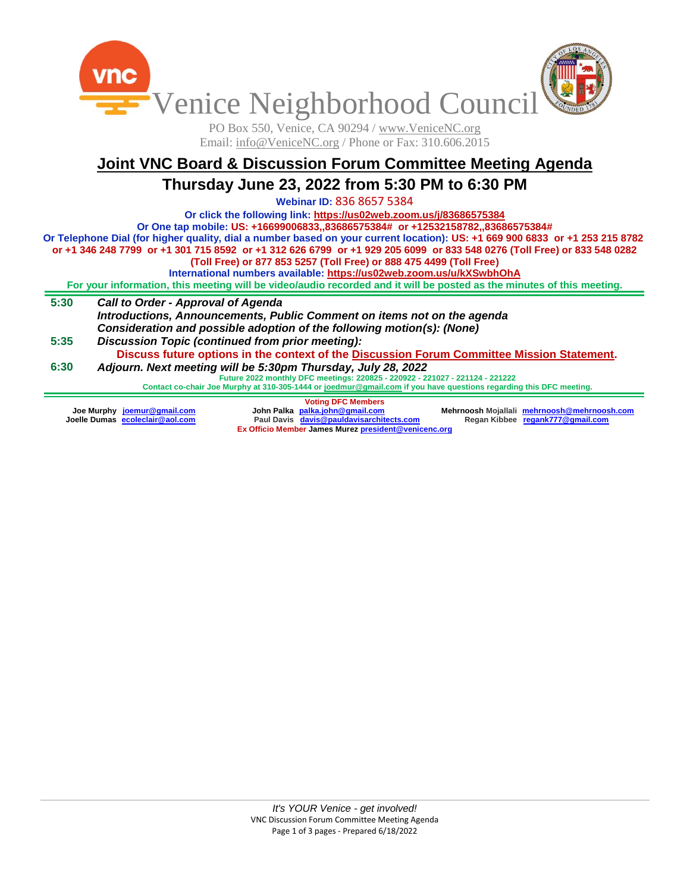

PO Box 550, Venice, CA 90294 / www.VeniceNC.org Email: info@VeniceNC.org / Phone or Fax: 310.606.2015

# **Joint VNC Board & Discussion Forum Committee Meeting Agenda Thursday June 23, 2022 from 5:30 PM to 6:30 PM**

**Webinar ID:** 836 8657 5384

**Or click the following link[: https://us02web.zoom.us/j/83686575384](https://us02web.zoom.us/j/83686575384)**

**Or One tap mobile: US: +16699006833,,83686575384# or +12532158782,,83686575384#**

**Or Telephone Dial (for higher quality, dial a number based on your current location): US: +1 669 900 6833 or +1 253 215 8782 or +1 346 248 7799 or +1 301 715 8592 or +1 312 626 6799 or +1 929 205 6099 or 833 548 0276 (Toll Free) or 833 548 0282** 

**(Toll Free) or 877 853 5257 (Toll Free) or 888 475 4499 (Toll Free)**

**International numbers available[: https://us02web.zoom.us/u/kXSwbhOhA](https://us02web.zoom.us/u/kXSwbhOhA)**

**For your information, this meeting will be video/audio recorded and it will be posted as the minutes of this meeting.**

- **5:30** *Call to Order - Approval of Agenda Introductions, Announcements, Public Comment on items not on the agenda Consideration and possible adoption of the following motion(s): (None)*
- **5:35 6:30** *Discussion Topic (continued from prior meeting):* **Discuss future options in the context of the Discussion Forum Committee Mission Statement.** *Adjourn. Next meeting will be 5:30pm Thursday, July 28, 2022*

**Future 2022 monthly DFC meetings: 220825 - 220922 - 221027 - 221124 - 221222**

**Contact co-chair Joe Murphy at 310-305-1444 o[r joedmur@gmail.com](mailto:joedmur@gmail.com) if you have questions regarding this DFC meeting.**

**Voting DFC Members Joe Murphy [joemur@gmail.com](about:blank) Joelle Dumas [ecoleclair@aol.com](about:blank) John Palka [palka.john@gmail.com](mailto:palka.john@gmail.com) Paul Davis [davis@pauldavisarchitects.com](about:blank) Mehrnoosh Mojallali [mehrnoosh@mehrnoosh.com](about:blank) Regan Kibbee regank777@gmail.com Ex Officio Member James Murez [president@venicenc.org](mailto:president@venicenc.org)**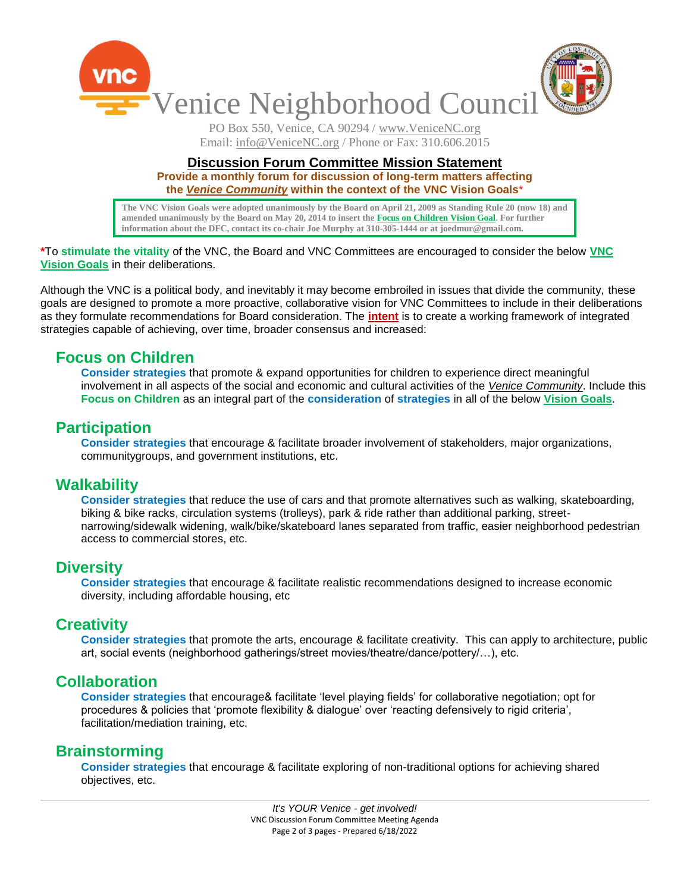

PO Box 550, Venice, CA 90294 / www.VeniceNC.org Email: info@VeniceNC.org / Phone or Fax: 310.606.2015

#### **Discussion Forum Committee Mission Statement**

**Provide a monthly forum for discussion of long-term matters affecting the** *Venice Community* **within the context of the VNC Vision Goals**\*

**The VNC Vision Goals were adopted unanimously by the Board on April 21, 2009 as Standing Rule 20 (now 18) and amended unanimously by the Board on May 20, 2014 to insert the Focus on Children Vision Goal. For further information about the DFC, contact its co-chair Joe Murphy at 310-305-1444 or at joedmur@gmail.com.**

#### **\***To **stimulate the vitality** of the VNC, the Board and VNC Committees are encouraged to consider the below **VNC Vision Goals** in their deliberations.

Although the VNC is a political body, and inevitably it may become embroiled in issues that divide the community, these goals are designed to promote a more proactive, collaborative vision for VNC Committees to include in their deliberations as they formulate recommendations for Board consideration. The **intent** is to create a working framework of integrated strategies capable of achieving, over time, broader consensus and increased:

## **Focus on Children**

**Consider strategies** that promote & expand opportunities for children to experience direct meaningful involvement in all aspects of the social and economic and cultural activities of the *Venice Community*. Include this **Focus on Children** as an integral part of the **consideration** of **strategies** in all of the below **Vision Goals**.

#### **Participation**

**Consider strategies** that encourage & facilitate broader involvement of stakeholders, major organizations, communitygroups, and government institutions, etc.

### **Walkability**

**Consider strategies** that reduce the use of cars and that promote alternatives such as walking, skateboarding, biking & bike racks, circulation systems (trolleys), park & ride rather than additional parking, streetnarrowing/sidewalk widening, walk/bike/skateboard lanes separated from traffic, easier neighborhood pedestrian access to commercial stores, etc.

### **Diversity**

**Consider strategies** that encourage & facilitate realistic recommendations designed to increase economic diversity, including affordable housing, etc

### **Creativity**

**Consider strategies** that promote the arts, encourage & facilitate creativity. This can apply to architecture, public art, social events (neighborhood gatherings/street movies/theatre/dance/pottery/…), etc.

### **Collaboration**

**Consider strategies** that encourage& facilitate 'level playing fields' for collaborative negotiation; opt for procedures & policies that 'promote flexibility & dialogue' over 'reacting defensively to rigid criteria', facilitation/mediation training, etc.

### **Brainstorming**

**Consider strategies** that encourage & facilitate exploring of non-traditional options for achieving shared objectives, etc.